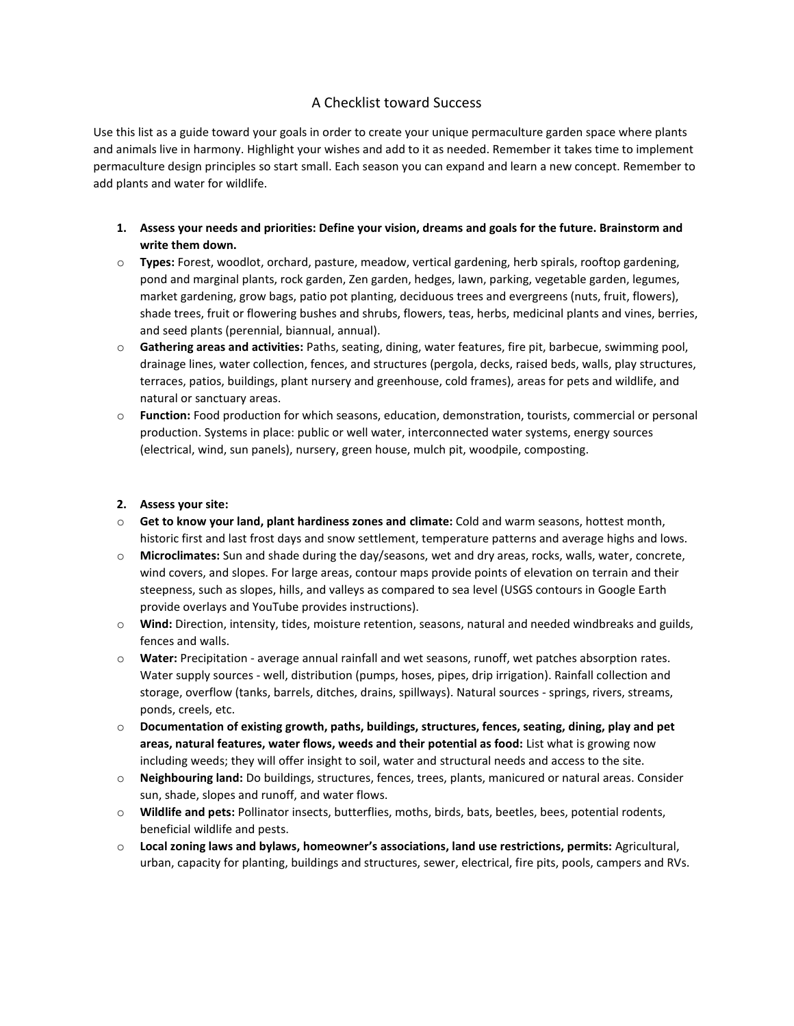# A Checklist toward Success

Use this list as a guide toward your goals in order to create your unique permaculture garden space where plants and animals live in harmony. Highlight your wishes and add to it as needed. Remember it takes time to implement permaculture design principles so start small. Each season you can expand and learn a new concept. Remember to add plants and water for wildlife.

- **1. Assess your needs and priorities: Define your vision, dreams and goals for the future. Brainstorm and write them down.**
- o **Types:** Forest, woodlot, orchard, pasture, meadow, vertical gardening, herb spirals, rooftop gardening, pond and marginal plants, rock garden, Zen garden, hedges, lawn, parking, vegetable garden, legumes, market gardening, grow bags, patio pot planting, deciduous trees and evergreens (nuts, fruit, flowers), shade trees, fruit or flowering bushes and shrubs, flowers, teas, herbs, medicinal plants and vines, berries, and seed plants (perennial, biannual, annual).
- o **Gathering areas and activities:** Paths, seating, dining, water features, fire pit, barbecue, swimming pool, drainage lines, water collection, fences, and structures (pergola, decks, raised beds, walls, play structures, terraces, patios, buildings, plant nursery and greenhouse, cold frames), areas for pets and wildlife, and natural or sanctuary areas.
- o **Function:** Food production for which seasons, education, demonstration, tourists, commercial or personal production. Systems in place: public or well water, interconnected water systems, energy sources (electrical, wind, sun panels), nursery, green house, mulch pit, woodpile, composting.

# **2. Assess your site:**

- o **Get to know your land, plant hardiness zones and climate:** Cold and warm seasons, hottest month, historic first and last frost days and snow settlement, temperature patterns and average highs and lows.
- o **Microclimates:** Sun and shade during the day/seasons, wet and dry areas, rocks, walls, water, concrete, wind covers, and slopes. For large areas, contour maps provide points of elevation on terrain and their steepness, such as slopes, hills, and valleys as compared to sea level (USGS contours in Google Earth provide overlays and YouTube provides instructions).
- o **Wind:** Direction, intensity, tides, moisture retention, seasons, natural and needed windbreaks and guilds, fences and walls.
- o **Water:** Precipitation average annual rainfall and wet seasons, runoff, wet patches absorption rates. Water supply sources - well, distribution (pumps, hoses, pipes, drip irrigation). Rainfall collection and storage, overflow (tanks, barrels, ditches, drains, spillways). Natural sources - springs, rivers, streams, ponds, creels, etc.
- o **Documentation of existing growth, paths, buildings, structures, fences, seating, dining, play and pet areas, natural features, water flows, weeds and their potential as food:** List what is growing now including weeds; they will offer insight to soil, water and structural needs and access to the site.
- o **Neighbouring land:** Do buildings, structures, fences, trees, plants, manicured or natural areas. Consider sun, shade, slopes and runoff, and water flows.
- o **Wildlife and pets:** Pollinator insects, butterflies, moths, birds, bats, beetles, bees, potential rodents, beneficial wildlife and pests.
- o **Local zoning laws and bylaws, homeowner's associations, land use restrictions, permits:** Agricultural, urban, capacity for planting, buildings and structures, sewer, electrical, fire pits, pools, campers and RVs.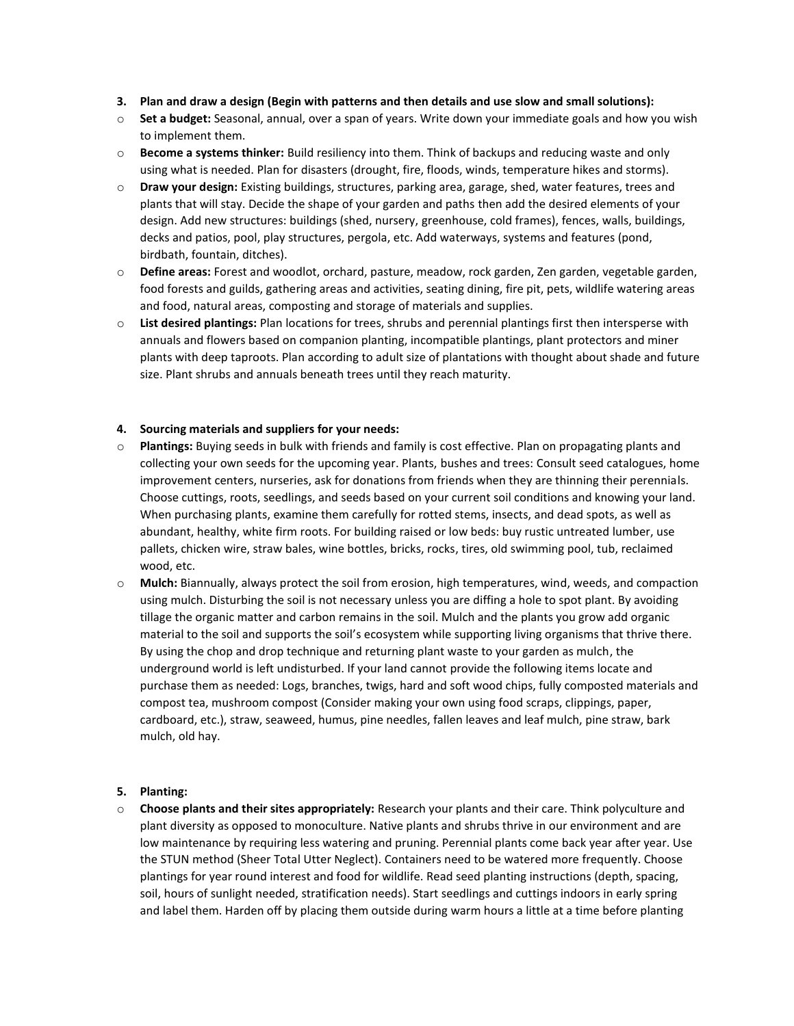- **3. Plan and draw a design (Begin with patterns and then details and use slow and small solutions):**
- o **Set a budget:** Seasonal, annual, over a span of years. Write down your immediate goals and how you wish to implement them.
- o **Become a systems thinker:** Build resiliency into them. Think of backups and reducing waste and only using what is needed. Plan for disasters (drought, fire, floods, winds, temperature hikes and storms).
- o **Draw your design:** Existing buildings, structures, parking area, garage, shed, water features, trees and plants that will stay. Decide the shape of your garden and paths then add the desired elements of your design. Add new structures: buildings (shed, nursery, greenhouse, cold frames), fences, walls, buildings, decks and patios, pool, play structures, pergola, etc. Add waterways, systems and features (pond, birdbath, fountain, ditches).
- o **Define areas:** Forest and woodlot, orchard, pasture, meadow, rock garden, Zen garden, vegetable garden, food forests and guilds, gathering areas and activities, seating dining, fire pit, pets, wildlife watering areas and food, natural areas, composting and storage of materials and supplies.
- o **List desired plantings:** Plan locations for trees, shrubs and perennial plantings first then intersperse with annuals and flowers based on companion planting, incompatible plantings, plant protectors and miner plants with deep taproots. Plan according to adult size of plantations with thought about shade and future size. Plant shrubs and annuals beneath trees until they reach maturity.

# **4. Sourcing materials and suppliers for your needs:**

- o **Plantings:** Buying seeds in bulk with friends and family is cost effective. Plan on propagating plants and collecting your own seeds for the upcoming year. Plants, bushes and trees: Consult seed catalogues, home improvement centers, nurseries, ask for donations from friends when they are thinning their perennials. Choose cuttings, roots, seedlings, and seeds based on your current soil conditions and knowing your land. When purchasing plants, examine them carefully for rotted stems, insects, and dead spots, as well as abundant, healthy, white firm roots. For building raised or low beds: buy rustic untreated lumber, use pallets, chicken wire, straw bales, wine bottles, bricks, rocks, tires, old swimming pool, tub, reclaimed wood, etc.
- o **Mulch:** Biannually, always protect the soil from erosion, high temperatures, wind, weeds, and compaction using mulch. Disturbing the soil is not necessary unless you are diffing a hole to spot plant. By avoiding tillage the organic matter and carbon remains in the soil. Mulch and the plants you grow add organic material to the soil and supports the soil's ecosystem while supporting living organisms that thrive there. By using the chop and drop technique and returning plant waste to your garden as mulch, the underground world is left undisturbed. If your land cannot provide the following items locate and purchase them as needed: Logs, branches, twigs, hard and soft wood chips, fully composted materials and compost tea, mushroom compost (Consider making your own using food scraps, clippings, paper, cardboard, etc.), straw, seaweed, humus, pine needles, fallen leaves and leaf mulch, pine straw, bark mulch, old hay.

# **5. Planting:**

o **Choose plants and their sites appropriately:** Research your plants and their care. Think polyculture and plant diversity as opposed to monoculture. Native plants and shrubs thrive in our environment and are low maintenance by requiring less watering and pruning. Perennial plants come back year after year. Use the STUN method (Sheer Total Utter Neglect). Containers need to be watered more frequently. Choose plantings for year round interest and food for wildlife. Read seed planting instructions (depth, spacing, soil, hours of sunlight needed, stratification needs). Start seedlings and cuttings indoors in early spring and label them. Harden off by placing them outside during warm hours a little at a time before planting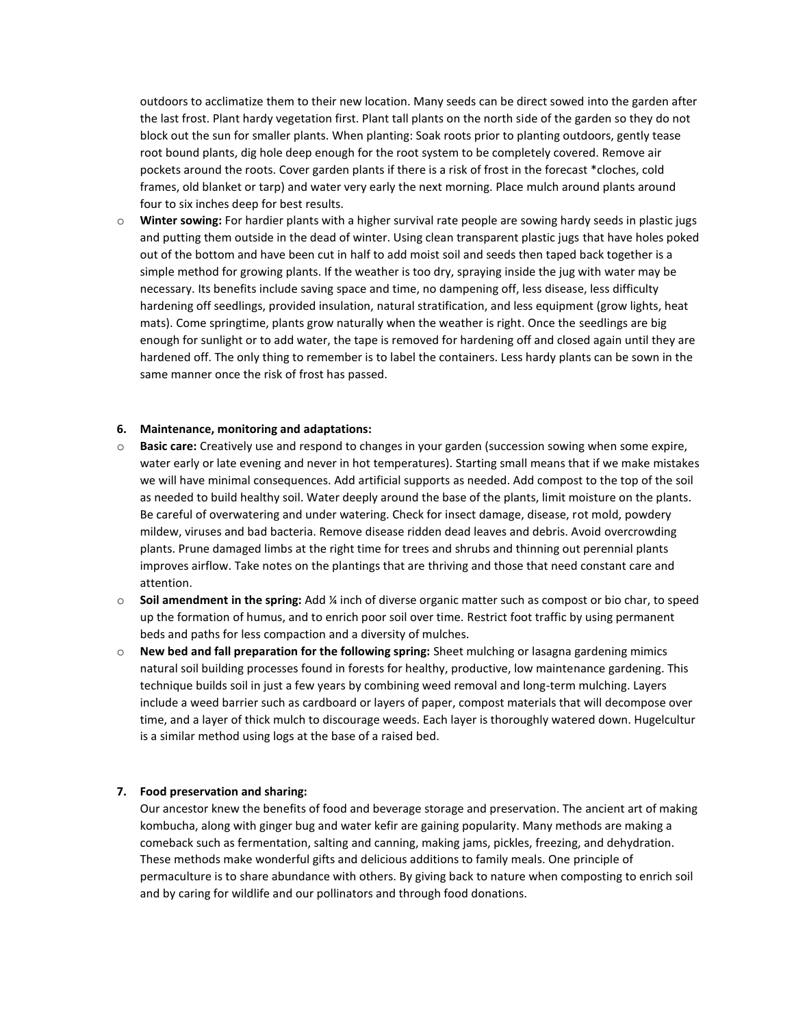outdoors to acclimatize them to their new location. Many seeds can be direct sowed into the garden after the last frost. Plant hardy vegetation first. Plant tall plants on the north side of the garden so they do not block out the sun for smaller plants. When planting: Soak roots prior to planting outdoors, gently tease root bound plants, dig hole deep enough for the root system to be completely covered. Remove air pockets around the roots. Cover garden plants if there is a risk of frost in the forecast \*cloches, cold frames, old blanket or tarp) and water very early the next morning. Place mulch around plants around four to six inches deep for best results.

o **Winter sowing:** For hardier plants with a higher survival rate people are sowing hardy seeds in plastic jugs and putting them outside in the dead of winter. Using clean transparent plastic jugs that have holes poked out of the bottom and have been cut in half to add moist soil and seeds then taped back together is a simple method for growing plants. If the weather is too dry, spraying inside the jug with water may be necessary. Its benefits include saving space and time, no dampening off, less disease, less difficulty hardening off seedlings, provided insulation, natural stratification, and less equipment (grow lights, heat mats). Come springtime, plants grow naturally when the weather is right. Once the seedlings are big enough for sunlight or to add water, the tape is removed for hardening off and closed again until they are hardened off. The only thing to remember is to label the containers. Less hardy plants can be sown in the same manner once the risk of frost has passed.

#### **6. Maintenance, monitoring and adaptations:**

- o **Basic care:** Creatively use and respond to changes in your garden (succession sowing when some expire, water early or late evening and never in hot temperatures). Starting small means that if we make mistakes we will have minimal consequences. Add artificial supports as needed. Add compost to the top of the soil as needed to build healthy soil. Water deeply around the base of the plants, limit moisture on the plants. Be careful of overwatering and under watering. Check for insect damage, disease, rot mold, powdery mildew, viruses and bad bacteria. Remove disease ridden dead leaves and debris. Avoid overcrowding plants. Prune damaged limbs at the right time for trees and shrubs and thinning out perennial plants improves airflow. Take notes on the plantings that are thriving and those that need constant care and attention.
- o **Soil amendment in the spring:** Add ¼ inch of diverse organic matter such as compost or bio char, to speed up the formation of humus, and to enrich poor soil over time. Restrict foot traffic by using permanent beds and paths for less compaction and a diversity of mulches.
- o **New bed and fall preparation for the following spring:** Sheet mulching or lasagna gardening mimics natural soil building processes found in forests for healthy, productive, low maintenance gardening. This technique builds soil in just a few years by combining weed removal and long-term mulching. Layers include a weed barrier such as cardboard or layers of paper, compost materials that will decompose over time, and a layer of thick mulch to discourage weeds. Each layer is thoroughly watered down. Hugelcultur is a similar method using logs at the base of a raised bed.

# **7. Food preservation and sharing:**

Our ancestor knew the benefits of food and beverage storage and preservation. The ancient art of making kombucha, along with ginger bug and water kefir are gaining popularity. Many methods are making a comeback such as fermentation, salting and canning, making jams, pickles, freezing, and dehydration. These methods make wonderful gifts and delicious additions to family meals. One principle of permaculture is to share abundance with others. By giving back to nature when composting to enrich soil and by caring for wildlife and our pollinators and through food donations.